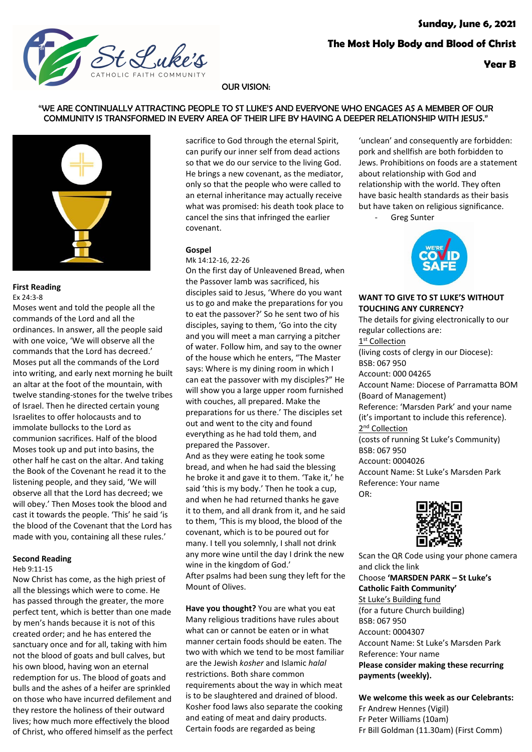

#### OUR VISION:

#### "WE ARE CONTINUALLY ATTRACTING PEOPLE TO ST LUKE'S AND EVERYONE WHO ENGAGES AS A MEMBER OF OUR COMMUNITY IS TRANSFORMED IN EVERY AREA OF THEIR LIFE BY HAVING A DEEPER RELATIONSHIP WITH JESUS."



#### **First Reading** Ex 24:3-8

Moses went and told the people all the commands of the Lord and all the ordinances. In answer, all the people said with one voice, 'We will observe all the commands that the Lord has decreed.' Moses put all the commands of the Lord into writing, and early next morning he built an altar at the foot of the mountain, with twelve standing-stones for the twelve tribes of Israel. Then he directed certain young Israelites to offer holocausts and to immolate bullocks to the Lord as communion sacrifices. Half of the blood Moses took up and put into basins, the other half he cast on the altar. And taking the Book of the Covenant he read it to the listening people, and they said, 'We will observe all that the Lord has decreed; we will obey.' Then Moses took the blood and cast it towards the people. 'This' he said 'is the blood of the Covenant that the Lord has made with you, containing all these rules.'

#### **Second Reading**

Heb 9:11-15

Now Christ has come, as the high priest of all the blessings which were to come. He has passed through the greater, the more perfect tent, which is better than one made by men's hands because it is not of this created order; and he has entered the sanctuary once and for all, taking with him not the blood of goats and bull calves, but his own blood, having won an eternal redemption for us. The blood of goats and bulls and the ashes of a heifer are sprinkled on those who have incurred defilement and they restore the holiness of their outward lives; how much more effectively the blood of Christ, who offered himself as the perfect sacrifice to God through the eternal Spirit, can purify our inner self from dead actions so that we do our service to the living God. He brings a new covenant, as the mediator, only so that the people who were called to an eternal inheritance may actually receive what was promised: his death took place to cancel the sins that infringed the earlier covenant.

## **Gospel**

Mk 14:12-16, 22-26 On the first day of Unleavened Bread, when the Passover lamb was sacrificed, his disciples said to Jesus, 'Where do you want us to go and make the preparations for you to eat the passover?' So he sent two of his disciples, saying to them, 'Go into the city and you will meet a man carrying a pitcher of water. Follow him, and say to the owner of the house which he enters, "The Master says: Where is my dining room in which I can eat the passover with my disciples?" He will show you a large upper room furnished with couches, all prepared. Make the preparations for us there.' The disciples set out and went to the city and found everything as he had told them, and prepared the Passover. And as they were eating he took some

bread, and when he had said the blessing he broke it and gave it to them. 'Take it,' he said 'this is my body.' Then he took a cup, and when he had returned thanks he gave it to them, and all drank from it, and he said to them, 'This is my blood, the blood of the covenant, which is to be poured out for many. I tell you solemnly, I shall not drink any more wine until the day I drink the new wine in the kingdom of God.' After psalms had been sung they left for the Mount of Olives.

**Have you thought?** You are what you eat Many religious traditions have rules about what can or cannot be eaten or in what manner certain foods should be eaten. The two with which we tend to be most familiar are the Jewish *kosher* and Islamic *halal* restrictions. Both share common requirements about the way in which meat is to be slaughtered and drained of blood. Kosher food laws also separate the cooking and eating of meat and dairy products. Certain foods are regarded as being

'unclean' and consequently are forbidden: pork and shellfish are both forbidden to Jews. Prohibitions on foods are a statement about relationship with God and relationship with the world. They often have basic health standards as their basis but have taken on religious significance.

Greg Sunter



#### **WANT TO GIVE TO ST LUKE'S WITHOUT TOUCHING ANY CURRENCY?**

The details for giving electronically to our regular collections are: 1<sup>st</sup> Collection (living costs of clergy in our Diocese): BSB: 067 950 Account: 000 04265 Account Name: Diocese of Parramatta BOM (Board of Management) Reference: 'Marsden Park' and your name (it's important to include this reference). 2<sup>nd</sup> Collection (costs of running St Luke's Community) BSB: 067 950 Account: 0004026 Account Name: St Luke's Marsden Park Reference: Your name  $OR<sup>1</sup>$ 



Scan the QR Code using your phone camera and click the link Choose **'MARSDEN PARK – St Luke's Catholic Faith Community'** St Luke's Building fund (for a future Church building) BSB: 067 950 Account: 0004307 Account Name: St Luke's Marsden Park Reference: Your name **Please consider making these recurring payments (weekly).**

**We welcome this week as our Celebrants:** Fr Andrew Hennes (Vigil) Fr Peter Williams (10am) Fr Bill Goldman (11.30am) (First Comm)